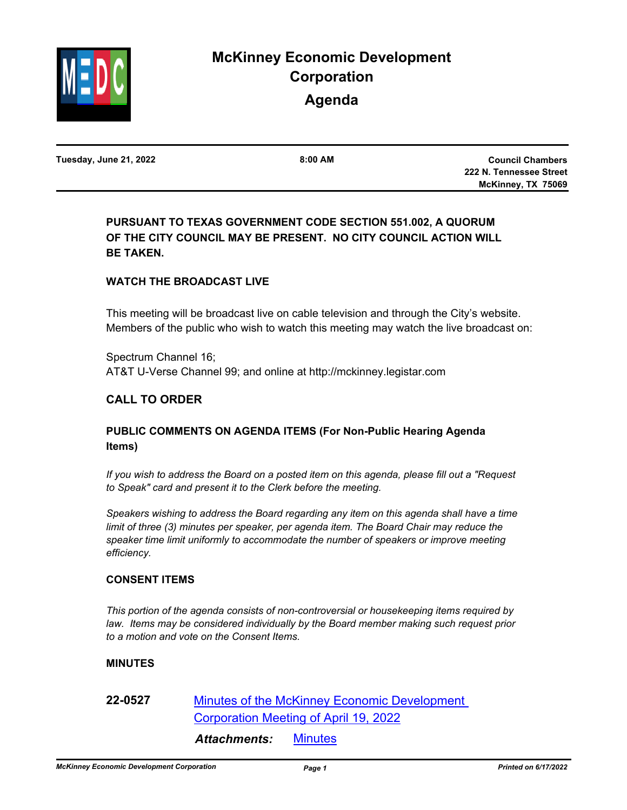

**Tuesday, June 21, 2022 8:00 AM**

**Council Chambers 222 N. Tennessee Street McKinney, TX 75069**

## **PURSUANT TO TEXAS GOVERNMENT CODE SECTION 551.002, A QUORUM OF THE CITY COUNCIL MAY BE PRESENT. NO CITY COUNCIL ACTION WILL BE TAKEN.**

## **WATCH THE BROADCAST LIVE**

This meeting will be broadcast live on cable television and through the City's website. Members of the public who wish to watch this meeting may watch the live broadcast on:

Spectrum Channel 16; AT&T U-Verse Channel 99; and online at http://mckinney.legistar.com

## **CALL TO ORDER**

## **PUBLIC COMMENTS ON AGENDA ITEMS (For Non-Public Hearing Agenda Items)**

*If you wish to address the Board on a posted item on this agenda, please fill out a "Request to Speak" card and present it to the Clerk before the meeting.* 

*Speakers wishing to address the Board regarding any item on this agenda shall have a time*  limit of three (3) minutes per speaker, per agenda item. The Board Chair may reduce the *speaker time limit uniformly to accommodate the number of speakers or improve meeting efficiency.*

### **CONSENT ITEMS**

*This portion of the agenda consists of non-controversial or housekeeping items required by*  law. Items may be considered individually by the Board member making such request prior *to a motion and vote on the Consent Items.*

### **MINUTES**

**22-0527** [Minutes of the McKinney Economic Development](http://mckinney.legistar.com/gateway.aspx?m=l&id=23977)  Corporation Meeting of April 19, 2022

*Attachments:* [Minutes](http://McKinney.legistar.com/gateway.aspx?M=F&ID=b1edca5d-dad7-4bbf-a168-87aa1399a47c.pdf)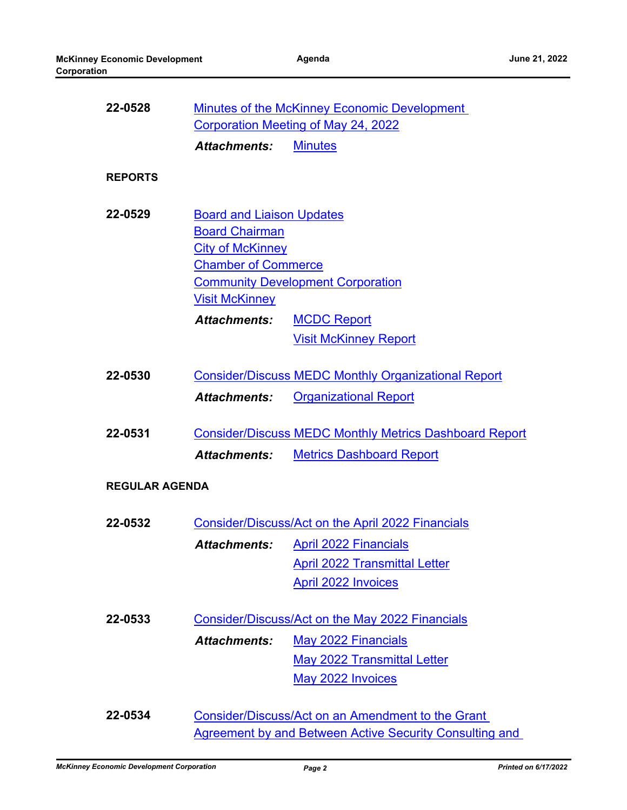| 22-0528               | Minutes of the McKinney Economic Development<br><b>Corporation Meeting of May 24, 2022</b>                                                                                              |                                                            |
|-----------------------|-----------------------------------------------------------------------------------------------------------------------------------------------------------------------------------------|------------------------------------------------------------|
|                       | <b>Attachments:</b>                                                                                                                                                                     | <b>Minutes</b>                                             |
| <b>REPORTS</b>        |                                                                                                                                                                                         |                                                            |
| 22-0529               | <b>Board and Liaison Updates</b><br><b>Board Chairman</b><br><b>City of McKinney</b><br><b>Chamber of Commerce</b><br><b>Community Development Corporation</b><br><b>Visit McKinney</b> |                                                            |
|                       | <b>Attachments:</b>                                                                                                                                                                     | <b>MCDC Report</b>                                         |
|                       |                                                                                                                                                                                         | <b>Visit McKinney Report</b>                               |
| 22-0530               |                                                                                                                                                                                         | <b>Consider/Discuss MEDC Monthly Organizational Report</b> |
|                       | <b>Attachments:</b>                                                                                                                                                                     | <b>Organizational Report</b>                               |
| 22-0531               | <b>Consider/Discuss MEDC Monthly Metrics Dashboard Report</b>                                                                                                                           |                                                            |
|                       | <b>Attachments:</b>                                                                                                                                                                     | <b>Metrics Dashboard Report</b>                            |
| <b>REGULAR AGENDA</b> |                                                                                                                                                                                         |                                                            |
| 22-0532               | Consider/Discuss/Act on the April 2022 Financials                                                                                                                                       |                                                            |
|                       | Attachments:                                                                                                                                                                            | <b>April 2022 Financials</b>                               |
|                       |                                                                                                                                                                                         | <b>April 2022 Transmittal Letter</b>                       |
|                       |                                                                                                                                                                                         | <b>April 2022 Invoices</b>                                 |
| 22-0533               | <b>Consider/Discuss/Act on the May 2022 Financials</b>                                                                                                                                  |                                                            |
|                       | <b>Attachments:</b>                                                                                                                                                                     | <b>May 2022 Financials</b>                                 |
|                       |                                                                                                                                                                                         | <b>May 2022 Transmittal Letter</b>                         |
|                       |                                                                                                                                                                                         | May 2022 Invoices                                          |
| 22-0534               |                                                                                                                                                                                         | Consider/Discuss/Act on an Amendment to the Grant          |

[Agreement by and Between Active Security Consulting and](http://mckinney.legistar.com/gateway.aspx?m=l&id=23987)